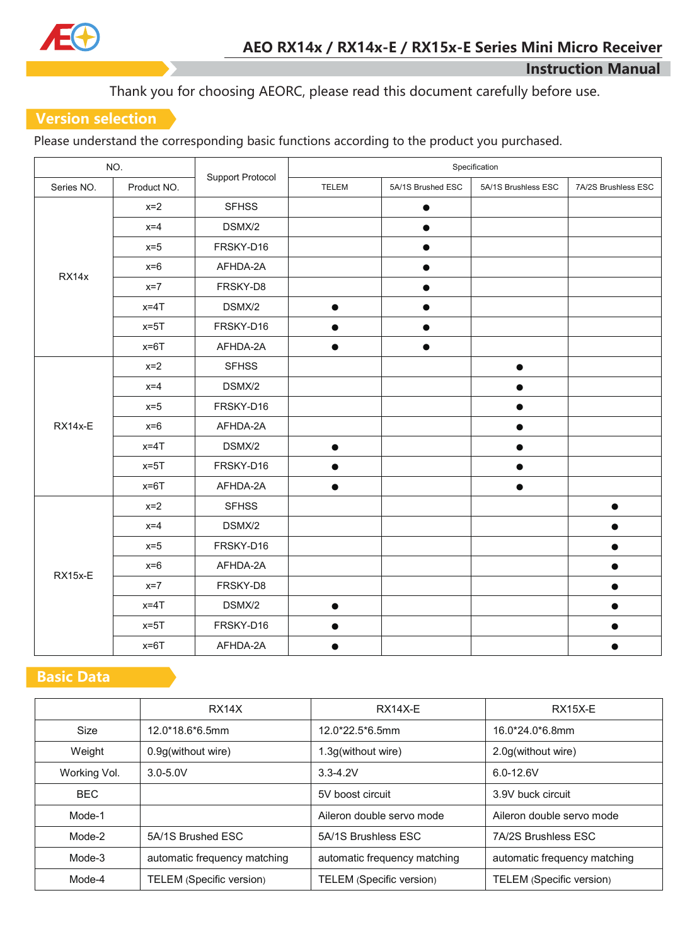

Thank you for choosing AEORC, please read this document carefully before use.

## **Version selection**

Please understand the corresponding basic functions according to the product you purchased.

| NO.        |             |                         | Specification |                   |                     |                     |
|------------|-------------|-------------------------|---------------|-------------------|---------------------|---------------------|
| Series NO. | Product NO. | <b>Support Protocol</b> | <b>TELEM</b>  | 5A/1S Brushed ESC | 5A/1S Brushless ESC | 7A/2S Brushless ESC |
| RX14x      | $x=2$       | <b>SFHSS</b>            |               | $\bullet$         |                     |                     |
|            | $x=4$       | DSMX/2                  |               | $\bullet$         |                     |                     |
|            | $x=5$       | FRSKY-D16               |               |                   |                     |                     |
|            | $x=6$       | AFHDA-2A                |               | $\bullet$         |                     |                     |
|            | $x=7$       | FRSKY-D8                |               |                   |                     |                     |
|            | $x=4T$      | DSMX/2                  | $\bullet$     | $\bullet$         |                     |                     |
|            | $x=5T$      | FRSKY-D16               |               | $\bullet$         |                     |                     |
|            | $x=6T$      | AFHDA-2A                | $\bullet$     | $\bullet$         |                     |                     |
| RX14x-E    | $x=2$       | <b>SFHSS</b>            |               |                   | $\bullet$           |                     |
|            | $x=4$       | DSMX/2                  |               |                   |                     |                     |
|            | $x=5$       | FRSKY-D16               |               |                   |                     |                     |
|            | $x=6$       | AFHDA-2A                |               |                   | $\bullet$           |                     |
|            | $x=4T$      | DSMX/2                  | $\bullet$     |                   |                     |                     |
|            | $x=5T$      | FRSKY-D16               |               |                   |                     |                     |
|            | $x=6T$      | AFHDA-2A                | $\bullet$     |                   | $\bullet$           |                     |
| RX15x-E    | $x=2$       | <b>SFHSS</b>            |               |                   |                     | $\bullet$           |
|            | $x=4$       | DSMX/2                  |               |                   |                     |                     |
|            | $x=5$       | FRSKY-D16               |               |                   |                     | ●                   |
|            | $x=6$       | AFHDA-2A                |               |                   |                     | $\bullet$           |
|            | $x=7$       | FRSKY-D8                |               |                   |                     | $\bullet$           |
|            | $x=4T$      | DSMX/2                  | $\bullet$     |                   |                     |                     |
|            | $x=5T$      | FRSKY-D16               | $\bullet$     |                   |                     | $\bullet$           |
|            | $x=6T$      | AFHDA-2A                |               |                   |                     |                     |

# **Basic Data**

|              | RX <sub>14</sub> X           | $RX14X-E$                    | <b>RX15X-E</b>               |
|--------------|------------------------------|------------------------------|------------------------------|
| Size         | $12.0*18.6*6.5mm$            | $12.0*22.5*6.5mm$            | 16.0*24.0*6.8mm              |
| Weight       | 0.9g(without wire)           | 1.3g(without wire)           | 2.0g(without wire)           |
| Working Vol. | $3.0 - 5.0V$                 | $3.3 - 4.2V$                 | $6.0 - 12.6V$                |
| <b>BEC</b>   |                              | 5V boost circuit             | 3.9V buck circuit            |
| Mode-1       |                              | Aileron double servo mode    | Aileron double servo mode    |
| Mode-2       | 5A/1S Brushed ESC            | 5A/1S Brushless ESC          | <b>7A/2S Brushless ESC</b>   |
| Mode-3       | automatic frequency matching | automatic frequency matching | automatic frequency matching |
| Mode-4       | TELEM (Specific version)     | TELEM (Specific version)     | TELEM (Specific version)     |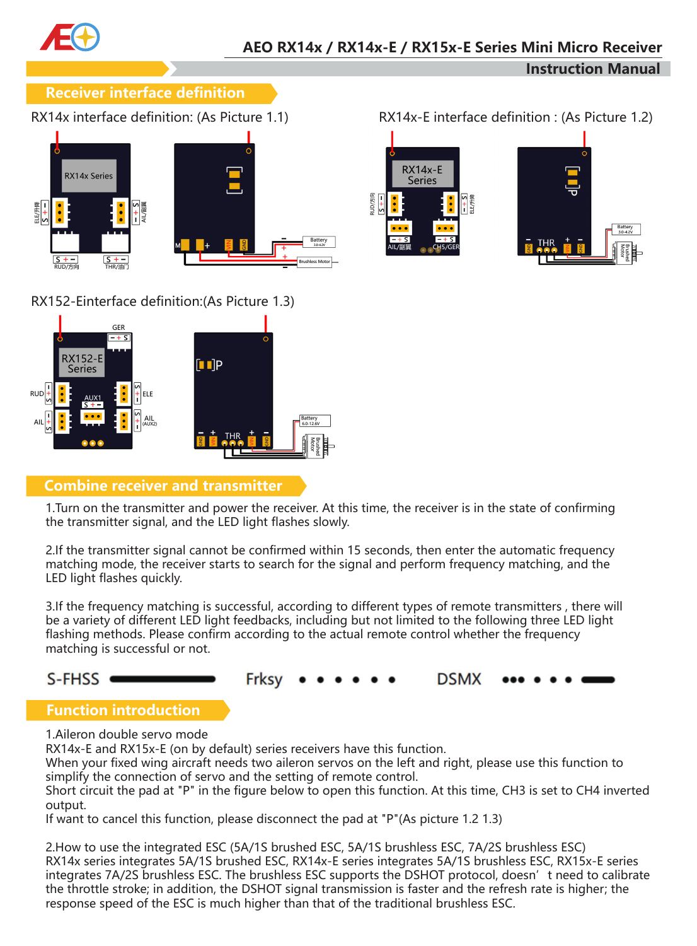

## **Receiver interface definition**



## RX152-Einterface definition:(As Picture 1.3)



## **Combine receiver and transmitter**

1.Turn on the transmitter and power the receiver. At this time, the receiver is in the state of confirming the transmitter signal, and the LED light flashes slowly.

2.If the transmitter signal cannot be confirmed within 15 seconds, then enter the automatic frequency matching mode, the receiver starts to search for the signal and perform frequency matching, and the LED light flashes quickly.

3.If the frequency matching is successful, according to different types of remote transmitters , there will be a variety of different LED light feedbacks, including but not limited to the following three LED light flashing methods. Please confirm according to the actual remote control whether the frequency matching is successful or not.

## S-FHSS



## **Function introduction**

1.Aileron double servo mode

RX14x-E and RX15x-E (on by default) series receivers have this function.

When your fixed wing aircraft needs two aileron servos on the left and right, please use this function to simplify the connection of servo and the setting of remote control.

Short circuit the pad at "P" in the figure below to open this function. At this time, CH3 is set to CH4 inverted output.

If want to cancel this function, please disconnect the pad at "P"(As picture 1.2 1.3)

2.How to use the integrated ESC (5A/1S brushed ESC, 5A/1S brushless ESC, 7A/2S brushless ESC) RX14x series integrates 5A/1S brushed ESC, RX14x-E series integrates 5A/1S brushless ESC, RX15x-E series integrates 7A/2S brushless ESC. The brushless ESC supports the DSHOT protocol, doesn't need to calibrate the throttle stroke; in addition, the DSHOT signal transmission is faster and the refresh rate is higher; the response speed of the ESC is much higher than that of the traditional brushless ESC.

RX14x interface definition: (As Picture 1.1) RX14x-E interface definition : (As Picture 1.2)

**Instruction Manual**